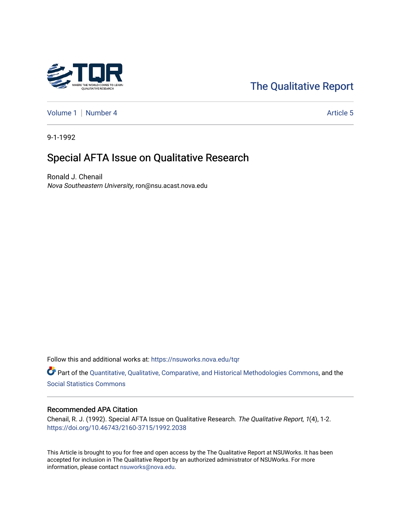

# [The Qualitative Report](https://nsuworks.nova.edu/tqr)

[Volume 1](https://nsuworks.nova.edu/tqr/vol1) | [Number 4](https://nsuworks.nova.edu/tqr/vol1/iss4) Article 5

9-1-1992

# Special AFTA Issue on Qualitative Research

Ronald J. Chenail Nova Southeastern University, ron@nsu.acast.nova.edu

Follow this and additional works at: [https://nsuworks.nova.edu/tqr](https://nsuworks.nova.edu/tqr?utm_source=nsuworks.nova.edu%2Ftqr%2Fvol1%2Fiss4%2F5&utm_medium=PDF&utm_campaign=PDFCoverPages) 

Part of the [Quantitative, Qualitative, Comparative, and Historical Methodologies Commons,](http://network.bepress.com/hgg/discipline/423?utm_source=nsuworks.nova.edu%2Ftqr%2Fvol1%2Fiss4%2F5&utm_medium=PDF&utm_campaign=PDFCoverPages) and the [Social Statistics Commons](http://network.bepress.com/hgg/discipline/1275?utm_source=nsuworks.nova.edu%2Ftqr%2Fvol1%2Fiss4%2F5&utm_medium=PDF&utm_campaign=PDFCoverPages) 

#### Recommended APA Citation

Chenail, R. J. (1992). Special AFTA Issue on Qualitative Research. The Qualitative Report, 1(4), 1-2. <https://doi.org/10.46743/2160-3715/1992.2038>

This Article is brought to you for free and open access by the The Qualitative Report at NSUWorks. It has been accepted for inclusion in The Qualitative Report by an authorized administrator of NSUWorks. For more information, please contact [nsuworks@nova.edu.](mailto:nsuworks@nova.edu)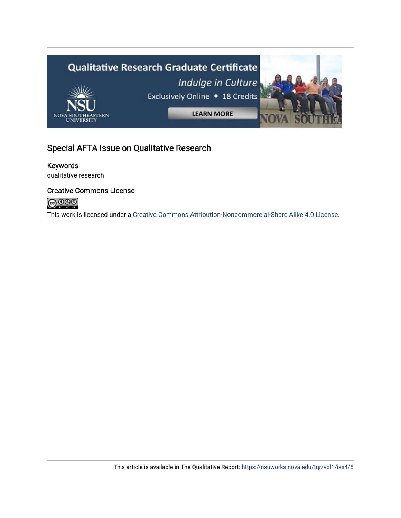

## Special AFTA Issue on Qualitative Research

## Keywords

qualitative research

### Creative Commons License



This work is licensed under a [Creative Commons Attribution-Noncommercial-Share Alike 4.0 License](https://creativecommons.org/licenses/by-nc-sa/4.0/).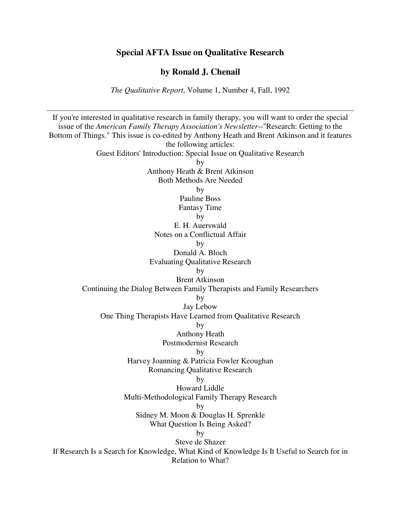### **Special AFTA Issue on Qualitative Research**

**by Ronald J. Chenail** 

*The Qualitative Report*, Volume 1, Number 4, Fall, 1992

If you're interested in qualitative research in family therapy, you will want to order the special issue of the *American Family Therapy Association's Newsletter*--"Research: Getting to the Bottom of Things." This issue is co-edited by Anthony Heath and Brent Atkinson and it features the following articles: Guest Editors' Introduction: Special Issue on Qualitative Research by Anthony Heath & Brent Atkinson Both Methods Are Needed by Pauline Boss Fantasy Time by E. H. Auerswald Notes on a Conflictual Affair by Donald A. Bloch Evaluating Qualitative Research by Brent Atkinson Continuing the Dialog Between Family Therapists and Family Researchers by Jay Lebow One Thing Therapists Have Learned from Qualitative Research by Anthony Heath Postmodernist Research by Harvey Joanning & Patricia Fowler Keoughan Romancing Qualitative Research by Howard Liddle Multi-Methodological Family Therapy Research by Sidney M. Moon & Douglas H. Sprenkle What Question Is Being Asked? by Steve de Shazer If Research Is a Search for Knowledge, What Kind of Knowledge Is It Useful to Search for in Relation to What?